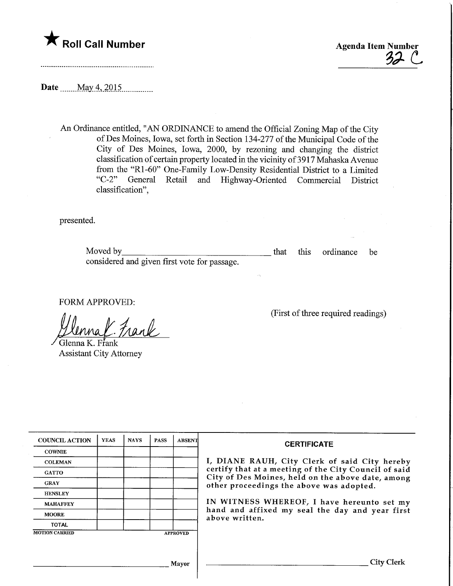



Date \_\_\_\_ May 4, 2015

An Ordinance entitled, "AN ORDINANCE to amend the Official Zoning Map of the City ofDes Moines, Iowa, set forth in Section 134-277 of the Municipal Code of the City of Des Moines, Iowa, 2000, by rezoning and changing the district classification of certain property located in the vicinity of 3 917 Mahaska Avenue from the "Rl-60" One-Family Low-Density Residential District to a Limited "C-2" General Retail and Highway-Oriented Commercial District classification",

presented.

| Moved by                                     |  | that this ordinance be |  |
|----------------------------------------------|--|------------------------|--|
| considered and given first vote for passage. |  |                        |  |

FORM APPROVED:

 $\overline{'}$ Glenna K. Frank

Assistant City Attorney

(First of three required readings)

| <b>COUNCIL ACTION</b> | <b>YEAS</b> | <b>NAYS</b> | <b>PASS</b> | <b>ABSENT</b>   | <b>CERTIFICATE</b>                                                                                                                                     |  |  |
|-----------------------|-------------|-------------|-------------|-----------------|--------------------------------------------------------------------------------------------------------------------------------------------------------|--|--|
| <b>COWNIE</b>         |             |             |             |                 |                                                                                                                                                        |  |  |
| <b>COLEMAN</b>        |             |             |             |                 | I, DIANE RAUH, City Clerk of said City hereby                                                                                                          |  |  |
| <b>GATTO</b>          |             |             |             |                 | certify that at a meeting of the City Council of said<br>City of Des Moines, held on the above date, among<br>other proceedings the above was adopted. |  |  |
| <b>GRAY</b>           |             |             |             |                 |                                                                                                                                                        |  |  |
| <b>HENSLEY</b>        |             |             |             |                 |                                                                                                                                                        |  |  |
| <b>MAHAFFEY</b>       |             |             |             |                 | IN WITNESS WHEREOF, I have hereunto set my                                                                                                             |  |  |
| <b>MOORE</b>          |             |             |             |                 | hand and affixed my seal the day and year first<br>above written.                                                                                      |  |  |
| <b>TOTAL</b>          |             |             |             |                 |                                                                                                                                                        |  |  |
| <b>MOTION CARRIED</b> |             |             |             | <b>APPROVED</b> |                                                                                                                                                        |  |  |
|                       |             |             |             |                 |                                                                                                                                                        |  |  |
|                       |             |             |             | Mayor           | City Clerk                                                                                                                                             |  |  |
|                       |             |             |             |                 |                                                                                                                                                        |  |  |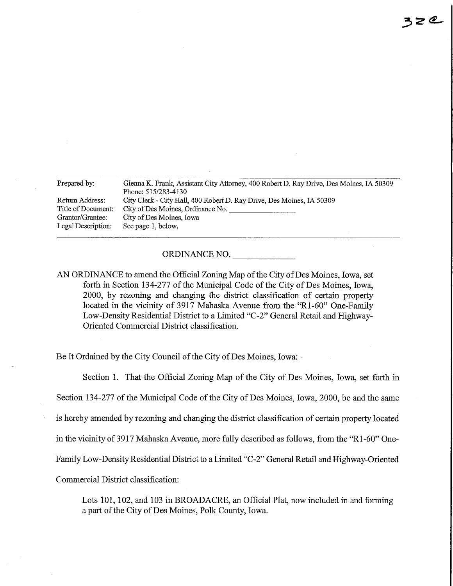| Prepared by:                           | Glenna K. Frank, Assistant City Attorney, 400 Robert D. Ray Drive, Des Moines, IA 50309      |
|----------------------------------------|----------------------------------------------------------------------------------------------|
| Return Address:                        | Phone: 515/283-4130<br>City Clerk - City Hall, 400 Robert D. Ray Drive, Des Moines, IA 50309 |
| Title of Document:<br>Grantor/Grantee: | City of Des Moines, Ordinance No.<br>City of Des Moines, Iowa                                |
| Legal Description:                     | See page 1, below.                                                                           |

ORDINANCE NO.

AN ORDINANCE to amend the Official Zoning Map of the City of Des Moines, Iowa, set forth in Section 134-277 of the Municipal Code of the City of Des Moines, Iowa, 2000, by rezoning and changing the district classification of certain property located in the vicinity of 3917 Mahaska Avenue from the "Rl-60" One-Family Low-Density Residential District to a Limited "C-2" General Retail and Highway-Oriented Commercial District classification.

Be It Ordained by the City Council of the City of Des Moines, Iowa:

Section 1. That the Official Zoning Map of the City of Des Moines, Iowa, set forth in Section 134-277 of the Municipal Code of the City of Des Moines, Iowa, 2000, be and the same is hereby amended by rezomng and changing the district classification of certain property located in the vicinity of 3917 Mahaska Avenue, more fully described as follows, from the "Rl-60" One-Family Low-Density Residential District to a Limited "C-2" General Retail and Highway-Oriented Commercial District classification:

Lots 101, 102, and 103 in BROADACRE, an Official Plat, now included in and forming a part of the City of Des Moines, Polk County, Iowa.

 $3z$ e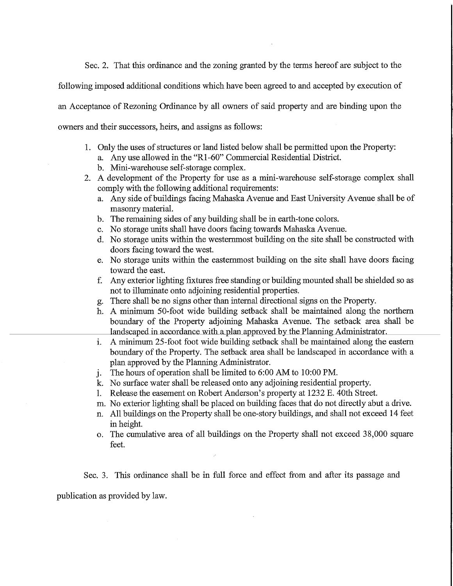Sec. 2. That this ordinance and the zoning granted by the terms hereof are subject to the

following imposed additional conditions which have been agreed to and accepted by execution of

an Acceptance of Rezoning Ordinance by all owners of said property and are binding upon the

owners and their successors, heirs, and assigns as follows:

- 1. Only the uses of structures or land listed below shall be permitted upon the Property:
	- a. Any use allowed in the "Rl -60" Commercial Residential District.
	- b. Mini-warehouse self-storage complex.
- 2. A development of the Property for use as a mini-warehouse self-storage complex shall comply with the following additional requirements:
	- a. Any side of buildings facing Mahaska Avenue and East University Avenue shall be of masonry material.
	- b. The remaining sides of any building shall be in earth-tone colors.
	- c. No storage units shall have doors facing towards Mahaska Avenue.
	- d. No storage units within the westernmost building on the site shall be constructed with doors facing toward the west.
	- e. No storage units within the eastemmost building on the site shall have doors facing toward the east.
	- f. Any exterior lighting fixtures free standing or building mounted shall be shielded so as not to illuminate onto adjoining residential properties.
	- g. There shall be no signs ofher than internal directional signs on the Property.
	- h. A minimum 50-foot wide building setback shall be maintained along the northern boundary of the Property adjoining Mahaska Avenue. The setback area shall be landscaped in accordance with a plan approved by the Planning Administrator.
	- i. A minimum 25-foot foot wide building setback shall be maintained along the eastern boundary of the Property. The setback area shall be landscaped in accordance with a plan approved by the Planning Administrator.
	- j. The hours of operation shall be limited to 6:00 AM to 10:00 PM.
	- k. No surface water shall be released onto any adjoining residential property.
	- 1. Release the easement on Robert Anderson's property at 1232 E. 40th Street.
	- m. No exterior lighting shall be placed on building faces fhat do not directly abut a drive.
	- n. All buildings on the Property shall be one-story buildings, and shall not exceed 14 feet in height.
	- o. The cumulative area of all buildings on the Property shall not exceed 38,000 square feet.

Sec. 3. This ordinance shall be in full force and effect from and after its passage and

publication as provided by law.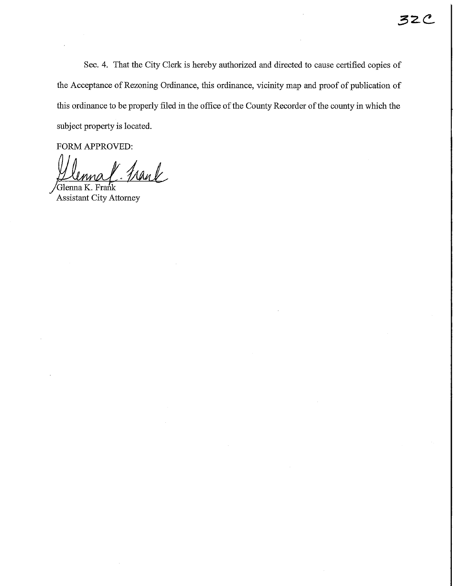Sec. 4. That the City Clerk is hereby authorized and directed to cause certified copies of the Acceptance of Rezoning Ordinance, this ordinance, vicinity map and proof of publication of this ordinance to be properly filed in fhe office of the County Recorder of the county in which the subject property is located.

FORM APPROVED:

Frank

/GlennaK. Frank Assistant City Attorney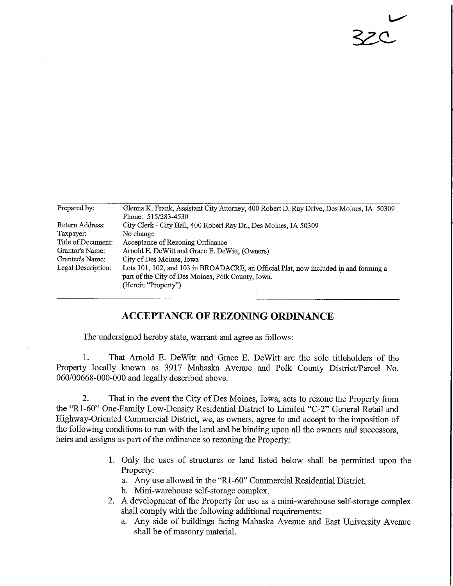| Prepared by:       | Glenna K. Frank, Assistant City Attorney, 400 Robert D. Ray Drive, Des Moines, IA 50309                                                    |
|--------------------|--------------------------------------------------------------------------------------------------------------------------------------------|
|                    | Phone: 515/283-4530                                                                                                                        |
| Return Address:    | City Clerk - City Hall, 400 Robert Ray Dr., Des Moines, IA 50309                                                                           |
| Taxpayer:          | No change                                                                                                                                  |
| Title of Document: | Acceptance of Rezoning Ordinance                                                                                                           |
| Grantor's Name:    | Arnold E. DeWitt and Grace E. DeWitt, (Owners)                                                                                             |
| Grantee's Name:    | City of Des Moines, Iowa                                                                                                                   |
| Legal Description: | Lots 101, 102, and 103 in BROADACRE, an Official Plat, now included in and forming a<br>part of the City of Des Moines, Polk County, Iowa. |
|                    | (Herein "Property")                                                                                                                        |

 $\overline{ }$ 

22C

## ACCEPTANCE OF REZONING ORDINANCE

The undersigned hereby state, warrant and agree as follows:

1. That Arnold E. DeWitt and Grace E. DeWitt are the sole titleholders of the Property locally known as 3917 Mahaska Avenue and Polk County District/Parcel No. 060/00668-000-000 and legally described above.

2. That in the event the City of Des Moines, Iowa, acts to rezone the Property from the "Rl-60" One-Family Low-Density Residential District to Limited "C-2" General Retail and Highway-Oriented Commercial District, we, as owners, agree to and accept to the imposition of the following conditions to run with the land and be binding upon all the owners and successors, heirs and assigns as part of the ordinance so rezoning the Property:

- 1. Only the uses of structures or land listed below shall be permitted upon the Property:
	- a. Any use allowed in the "Rl -60" Commercial Residential District.
	- b. Mini-warehouse self-storage complex.
- 2. A development of the Property for use as a mini-warehouse self-storage complex shall comply with the following additional requirements:
	- a. Any side of buildings facing Mahaska Avenue and East University Avenue shall be of masonry material.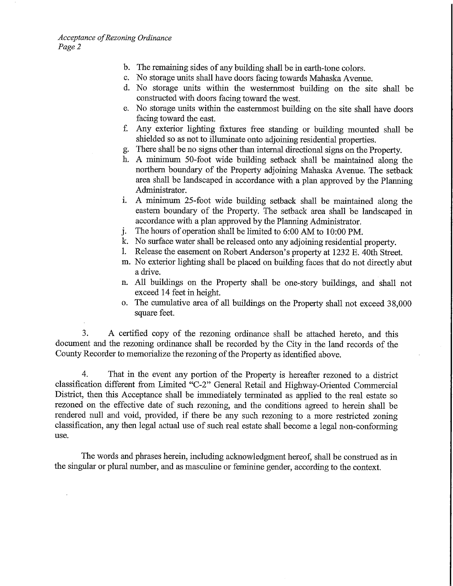- b. The remaining sides of any building shall be in earth-tone colors.
- c. No storage units shall have doors facing towards Mahaska Avenue.
- d. No storage units within the westernmost building on the site shall be constructed with doors facing toward the west.
- e. No storage units within the eastemmost building on the site shall have doors facing toward the east.
- f. Any exterior lighting fixtures free standing or building mounted shall be shielded so as not to illuminate onto adjoining residential properties.
- g. There shall be no signs other than internal directional signs on the Property.
- h. A minimum 50-foot wide building setback shall be maintained along the northern boundary of the Property adjoining Mahaska Avenue. The setback area shall be landscaped in accordance with a plan approved by the Planning Administrator.
- i. A minimum 25-foot wide building setback shall be maintained along the eastern boundary of the Property. The setback area shall be landscaped in accordance with a plan approved by the Planning Administrator.
- j. The hours of operation shall be limited to 6:00 AM to 10:00 PM.
- k. No surface water shall be released onto any adjoining residential property.
- 1. Release the easement on Robert Anderson's property at 1232 E. 40th Street.
- m. No exterior lighting shall be placed on building faces that do not directly abut a drive.
- n. All buildings on the Property shall be one-story buildings, and shall not exceed 14 feet in height.
- o. The cumulative area of all buildings on the Property shall not exceed 38,000 square feet.

3. A certified copy of the rezoning ordinance shall be attached hereto, and this document and the rezoning ordinance shall be recorded by the City in the land records of the County Recorder to memorialize the rezoning of the Property as identified above.

4. That in the event any portion of the Property is hereafter rezoned to a district classification different from Limited "C-2" General Retail and Highway-Oriented Commercial District, then this Acceptance shall be immediately terminated as applied to the real estate so rezoned on the effective date of such rezoning, and the conditions agreed to herein shall be rendered null and void, provided, if there be any such rezoning to a more restricted zoning classification, any then legal actual use of such real estate shall become a legal non-conforming use.

The words and phrases herein, including acknowledgment hereof, shall be construed as in the singular or plural number, and as masculine or feminine gender, according to the context.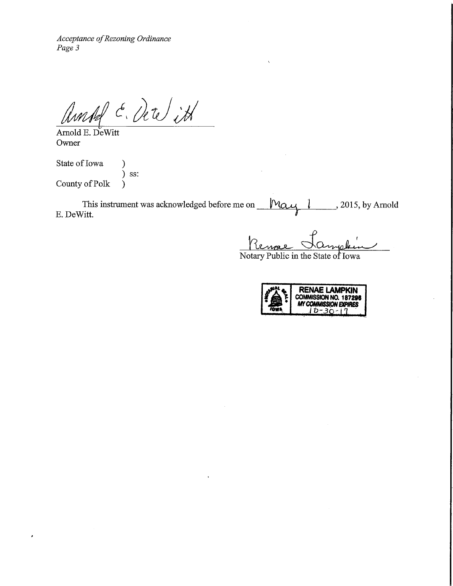Acceptance of Rezoning Ordinance Page 3

 $\stackrel{\epsilon}{\ll}$ , De

Arnold E. DeWitt Owner

State of Iowa (1) ) ss: County of Polk )

 $\cdot$ 

This instrument was acknowledged before me on E. DeWitt.  $\mathcal{M}$ ay  $\mathcal{N}$  , 2015, by Arnold

Renna

Notary Public in the State of Iowa